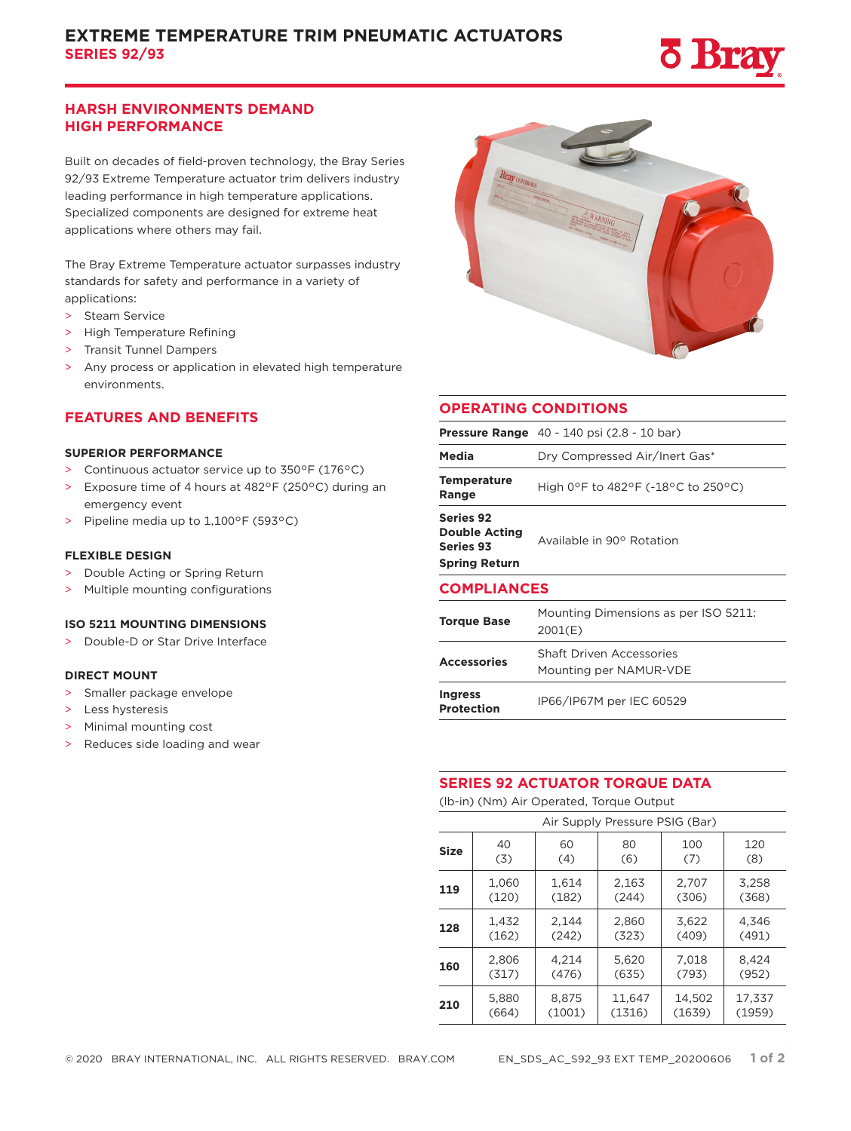

# **HARSH ENVIRONMENTS DEMAND HIGH PERFORMANCE**

Built on decades of field-proven technology, the Bray Series 92/93 Extreme Temperature actuator trim delivers industry leading performance in high temperature applications. Specialized components are designed for extreme heat applications where others may fail.

The Bray Extreme Temperature actuator surpasses industry standards for safety and performance in a variety of applications:

- > Steam Service
- > High Temperature Refining
- > Transit Tunnel Dampers
- > Any process or application in elevated high temperature environments.

## **FEATURES AND BENEFITS**

#### **SUPERIOR PERFORMANCE**

- > Continuous actuator service up to 350°F (176°C)
- > Exposure time of 4 hours at 482°F (250°C) during an emergency event
- > Pipeline media up to 1,100°F (593°C)

#### **FLEXIBLE DESIGN**

- > Double Acting or Spring Return
- > Multiple mounting configurations

## **ISO 5211 MOUNTING DIMENSIONS**

> Double-D or Star Drive Interface

## **DIRECT MOUNT**

- > Smaller package envelope
- > Less hysteresis
- > Minimal mounting cost

> Reduces side loading and wear

## **OPERATING CONDITIONS**

|                                                                               | <b>Pressure Range</b> $40 - 140$ psi $(2.8 - 10$ bar)     |  |  |  |  |  |  |
|-------------------------------------------------------------------------------|-----------------------------------------------------------|--|--|--|--|--|--|
| Media                                                                         | Dry Compressed Air/Inert Gas*                             |  |  |  |  |  |  |
| <b>Temperature</b><br>Range                                                   | High 0°F to 482°F (-18°C to 250°C)                        |  |  |  |  |  |  |
| Series 92<br><b>Double Acting</b><br><b>Series 93</b><br><b>Spring Return</b> | Available in 90° Rotation                                 |  |  |  |  |  |  |
| <b>COMPLIANCES</b>                                                            |                                                           |  |  |  |  |  |  |
| <b>Torque Base</b>                                                            | Mounting Dimensions as per ISO 5211:<br>2001(E)           |  |  |  |  |  |  |
| <b>Accessories</b>                                                            | <b>Shaft Driven Accessories</b><br>Mounting per NAMUR-VDE |  |  |  |  |  |  |
| <b>Ingress</b><br>Protection                                                  | IP66/IP67M per IEC 60529                                  |  |  |  |  |  |  |

#### **SERIES 92 ACTUATOR TORQUE DATA**

(lb-in) (Nm) Air Operated, Torque Output

| Air Supply Pressure PSIG (Bar) |       |        |        |        |        |  |  |  |  |
|--------------------------------|-------|--------|--------|--------|--------|--|--|--|--|
| <b>Size</b>                    | 40    | 60     | 80     | 100    | 120    |  |  |  |  |
|                                | (3)   | (4)    | (6)    | (7)    | (8)    |  |  |  |  |
| 119                            | 1.060 | 1.614  | 2.163  | 2,707  | 3.258  |  |  |  |  |
|                                | (120) | (182)  | (244)  | (306)  | (368)  |  |  |  |  |
| 128                            | 1,432 | 2.144  | 2,860  | 3,622  | 4,346  |  |  |  |  |
|                                | (162) | (242)  | (323)  | (409)  | (491)  |  |  |  |  |
| 160                            | 2,806 | 4,214  | 5,620  | 7,018  | 8,424  |  |  |  |  |
|                                | (317) | (476)  | (635)  | (793)  | (952)  |  |  |  |  |
| 210                            | 5,880 | 8,875  | 11,647 | 14,502 | 17,337 |  |  |  |  |
|                                | (664) | (1001) | (1316) | (1639) | (1959) |  |  |  |  |